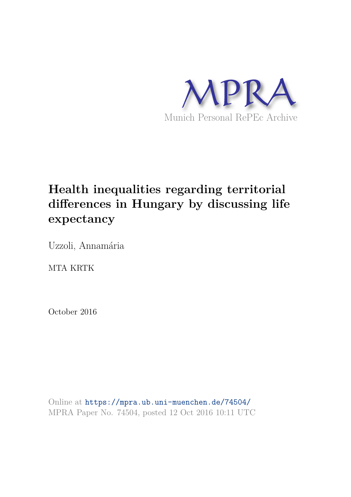

# **Health inequalities regarding territorial differences in Hungary by discussing life expectancy**

Uzzoli, Annamária

MTA KRTK

October 2016

Online at https://mpra.ub.uni-muenchen.de/74504/ MPRA Paper No. 74504, posted 12 Oct 2016 10:11 UTC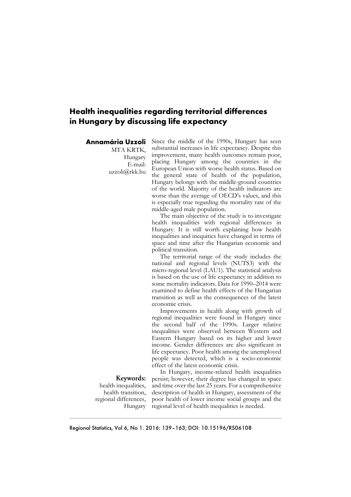# **Health inequalities regarding territorial differences in Hungary by discussing life expectancy**

## **Annamária Uzzoli**

MTA KRTK, Hungary E-mail: uzzoli@rkk.hu Since the middle of the 1990s, Hungary has seen substantial increases in life expectancy. Despite this improvement, many health outcomes remain poor, placing Hungary among the countries in the European Union with worse health status. Based on the general state of health of the population, Hungary belongs with the middle-ground countries of the world. Majority of the health indicators are worse than the average of OECD's values, and this is especially true regarding the mortality rate of the middle-aged male population.

The main objective of the study is to investigate health inequalities with regional differences in Hungary. It is still worth explaining how health inequalities and inequities have changed in terms of space and time after the Hungarian economic and political transition.

The territorial range of the study includes the national and regional levels (NUTS3) with the micro-regional level (LAU1). The statistical analysis is based on the use of life expectancy in addition to some mortality indicators. Data for 1990–2014 were examined to define health effects of the Hungarian transition as well as the consequences of the latest economic crisis.

Improvements in health along with growth of regional inequalities were found in Hungary since the second half of the 1990s. Larger relative inequalities were observed between Western and Eastern Hungary based on its higher and lower income. Gender differences are also significant in life expectancy. Poor health among the unemployed people was detected, which is a socio-economic effect of the latest economic crisis.

## **Keywords:**

health inequalities, health transition, regional differences, Hungary

In Hungary, income-related health inequalities persist; however, their degree has changed in space and time over the last 25 years. For a comprehensive description of health in Hungary, assessment of the poor health of lower income social groups and the regional level of health inequalities is needed.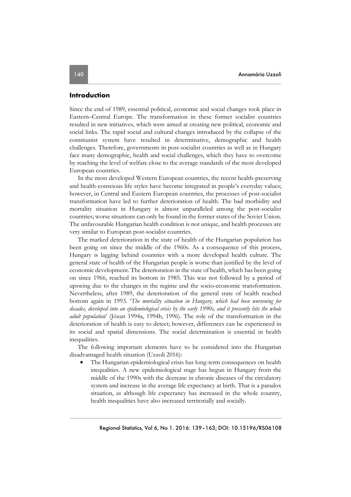## **Introduction**

Since the end of 1989, essential political, economic and social changes took place in Eastern–Central Europe. The transformation in these former socialist countries resulted in new initiatives, which were aimed at creating new political, economic and social links. The rapid social and cultural changes introduced by the collapse of the communist system have resulted in determinative, demographic and health challenges. Therefore, governments in post-socialist countries as well as in Hungary face many demographic, health and social challenges, which they have to overcome by reaching the level of welfare close to the average standards of the most developed European countries.

In the most developed Western European countries, the recent health-preserving and health-conscious life styles have become integrated in people's everyday values; however, in Central and Eastern European countries, the processes of post-socialist transformation have led to further deterioration of health. The bad morbidity and mortality situation in Hungary is almost unparalleled among the post-socialist countries; worse situations can only be found in the former states of the Soviet Union. The unfavourable Hungarian health condition is not unique, and health processes are very similar to European post-socialist countries.

The marked deterioration in the state of health of the Hungarian population has been going on since the middle of the 1960s. As a consequence of this process, Hungary is lagging behind countries with a more developed health culture. The general state of health of the Hungarian people is worse than justified by the level of economic development. The deterioration in the state of health, which has been going on since 1966, reached its bottom in 1985. This was not followed by a period of upswing due to the changes in the regime and the socio-economic transformation. Nevertheless, after 1989, the deterioration of the general state of health reached bottom again in 1993. '*The mortality situation in Hungary, which had been worsening for decades, developed into an epidemiological crisis by the early 1990s, and it presently hits the whole adult population*' (Józan 1994a, 1994b, 1996). The role of the transformation in the deterioration of health is easy to detect; however, differences can be experienced in its social and spatial dimensions. The social determination is essential in health inequalities.

The following important elements have to be considered into the Hungarian disadvantaged health situation (Uzzoli 2016):

• The Hungarian epidemiological crisis has long-term consequences on health inequalities. A new epidemiological stage has begun in Hungary from the middle of the 1990s with the decrease in chronic diseases of the circulatory system and increase in the average life expectancy at birth. That is a paradox situation, as although life expectancy has increased in the whole country, health inequalities have also increased territorially and socially.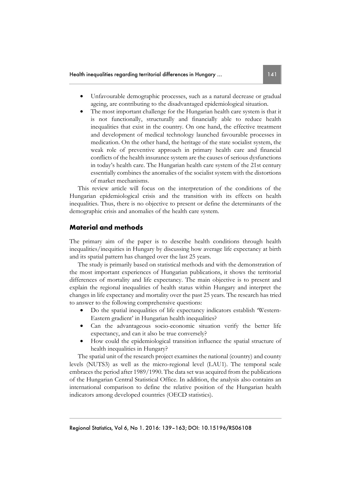- Unfavourable demographic processes, such as a natural decrease or gradual ageing, are contributing to the disadvantaged epidemiological situation.
- The most important challenge for the Hungarian health care system is that it is not functionally, structurally and financially able to reduce health inequalities that exist in the country. On one hand, the effective treatment and development of medical technology launched favourable processes in medication. On the other hand, the heritage of the state socialist system, the weak role of preventive approach in primary health care and financial conflicts of the health insurance system are the causes of serious dysfunctions in today's health care. The Hungarian health care system of the 21st century essentially combines the anomalies of the socialist system with the distortions of market mechanisms.

This review article will focus on the interpretation of the conditions of the Hungarian epidemiological crisis and the transition with its effects on health inequalities. Thus, there is no objective to present or define the determinants of the demographic crisis and anomalies of the health care system.

# **Material and methods**

The primary aim of the paper is to describe health conditions through health inequalities/inequities in Hungary by discussing how average life expectancy at birth and its spatial pattern has changed over the last 25 years.

The study is primarily based on statistical methods and with the demonstration of the most important experiences of Hungarian publications, it shows the territorial differences of mortality and life expectancy. The main objective is to present and explain the regional inequalities of health status within Hungary and interpret the changes in life expectancy and mortality over the past 25 years. The research has tried to answer to the following comprehensive questions:

- Do the spatial inequalities of life expectancy indicators establish 'Western-Eastern gradient' in Hungarian health inequalities?
- Can the advantageous socio-economic situation verify the better life expectancy, and can it also be true conversely?
- How could the epidemiological transition influence the spatial structure of health inequalities in Hungary?

The spatial unit of the research project examines the national (country) and county levels (NUTS3) as well as the micro-regional level (LAU1). The temporal scale embraces the period after 1989/1990. The data set was acquired from the publications of the Hungarian Central Statistical Office. In addition, the analysis also contains an international comparison to define the relative position of the Hungarian health indicators among developed countries (OECD statistics).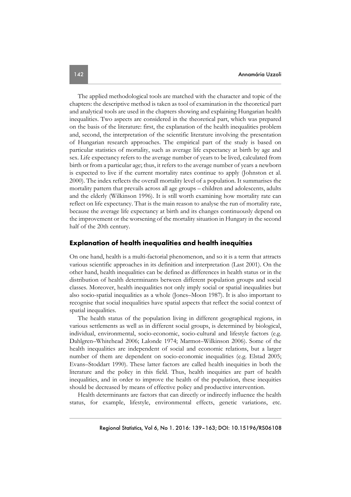The applied methodological tools are matched with the character and topic of the chapters: the descriptive method is taken as tool of examination in the theoretical part and analytical tools are used in the chapters showing and explaining Hungarian health inequalities. Two aspects are considered in the theoretical part, which was prepared on the basis of the literature: first, the explanation of the health inequalities problem and, second, the interpretation of the scientific literature involving the presentation of Hungarian research approaches. The empirical part of the study is based on particular statistics of mortality, such as average life expectancy at birth by age and sex. Life expectancy refers to the average number of years to be lived, calculated from birth or from a particular age; thus, it refers to the average number of years a newborn is expected to live if the current mortality rates continue to apply (Johnston et al. 2000). The index reflects the overall mortality level of a population. It summarises the mortality pattern that prevails across all age groups – children and adolescents, adults and the elderly (Wilkinson 1996). It is still worth examining how mortality rate can reflect on life expectancy. That is the main reason to analyse the run of mortality rate, because the average life expectancy at birth and its changes continuously depend on the improvement or the worsening of the mortality situation in Hungary in the second half of the 20th century.

## **Explanation of health inequalities and health inequities**

On one hand, health is a multi-factorial phenomenon, and so it is a term that attracts various scientific approaches in its definition and interpretation (Last 2001). On the other hand, health inequalities can be defined as differences in health status or in the distribution of health determinants between different population groups and social classes. Moreover, health inequalities not only imply social or spatial inequalities but also socio-spatial inequalities as a whole (Jones–Moon 1987). It is also important to recognise that social inequalities have spatial aspects that reflect the social context of spatial inequalities.

The health status of the population living in different geographical regions, in various settlements as well as in different social groups, is determined by biological, individual, environmental, socio-economic, socio-cultural and lifestyle factors (e.g. Dahlgren–Whitehead 2006; Lalonde 1974; Marmot–Wilkinson 2006). Some of the health inequalities are independent of social and economic relations, but a larger number of them are dependent on socio-economic inequalities (e.g. Elstad 2005; Evans–Stoddart 1990). These latter factors are called health inequities in both the literature and the policy in this field. Thus, health inequities are part of health inequalities, and in order to improve the health of the population, these inequities should be decreased by means of effective policy and productive intervention.

Health determinants are factors that can directly or indirectly influence the health status, for example, lifestyle, environmental effects, genetic variations, etc.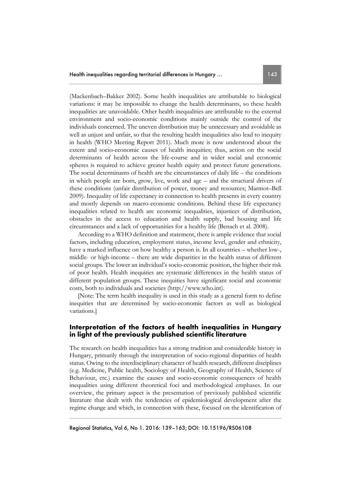(Mackenbach–Bakker 2002). Some health inequalities are attributable to biological variations: it may be impossible to change the health determinants, so these health inequalities are unavoidable. Other health inequalities are attributable to the external environment and socio-economic conditions mainly outside the control of the individuals concerned. The uneven distribution may be unnecessary and avoidable as well as unjust and unfair, so that the resulting health inequalities also lead to inequity in health (WHO Meeting Report 2011). Much more is now understood about the extent and socio-economic causes of health inequities; thus, action on the social determinants of health across the life-course and in wider social and economic spheres is required to achieve greater health equity and protect future generations. The social determinants of health are the circumstances of daily life – the conditions in which people are born, grow, live, work and age – and the structural drivers of these conditions (unfair distribution of power, money and resources; Marmot–Bell 2009). Inequality of life expectancy in connection to health presents in every country and mostly depends on macro-economic conditions. Behind these life expectancy inequalities related to health are economic inequalities, injustices of distribution, obstacles in the access to education and health supply, bad housing and life circumstances and a lack of opportunities for a healthy life (Benach et al. 2008).

According to a WHO definition and statement, there is ample evidence that social factors, including education, employment status, income level, gender and ethnicity, have a marked influence on how healthy a person is. In all countries – whether low-, middle- or high-income – there are wide disparities in the health status of different social groups. The lower an individual's socio-economic position, the higher their risk of poor health. Health inequities are systematic differences in the health status of different population groups. These inequities have significant social and economic costs, both to individuals and societies (http://www.who.int).

[Note: The term health inequality is used in this study as a general form to define inequities that are determined by socio-economic factors as well as biological variations.]

# **Interpretation of the factors of health inequalities in Hungary in light of the previously published scientific literature**

The research on health inequalities has a strong tradition and considerable history in Hungary, primarily through the interpretation of socio-regional disparities of health status. Owing to the interdisciplinary character of health research, different disciplines (e.g. Medicine, Public health, Sociology of Health, Geography of Health, Science of Behaviour, etc.) examine the causes and socio-economic consequences of health inequalities using different theoretical foci and methodological emphases. In our overview, the primary aspect is the presentation of previously published scientific literature that dealt with the tendencies of epidemiological development after the regime change and which, in connection with these, focused on the identification of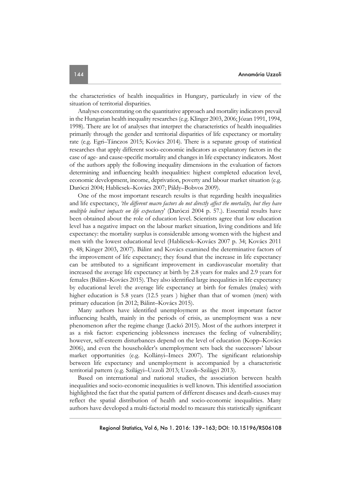the characteristics of health inequalities in Hungary, particularly in view of the situation of territorial disparities.

Analyses concentrating on the quantitative approach and mortality indicators prevail in the Hungarian health inequality researches (e.g. Klinger 2003, 2006; Józan 1991, 1994, 1998). There are lot of analyses that interpret the characteristics of health inequalities primarily through the gender and territorial disparities of life expectancy or mortality rate (e.g. Egri–Tánczos 2015; Kovács 2014). There is a separate group of statistical researches that apply different socio-economic indicators as explanatory factors in the case of age- and cause-specific mortality and changes in life expectancy indicators. Most of the authors apply the following inequality dimensions in the evaluation of factors determining and influencing health inequalities: highest completed education level, economic development, income, deprivation, poverty and labour market situation (e.g. Daróczi 2004; Hablicsek–Kovács 2007; Páldy–Bobvos 2009).

One of the most important research results is that regarding health inequalities and life expectancy, *'the different macro factors do not directly affect the mortality, but they have multiple indirect impacts on life expectancy*' (Daróczi 2004 p. 57.). Essential results have been obtained about the role of education level. Scientists agree that low education level has a negative impact on the labour market situation, living conditions and life expectancy: the mortality surplus is considerable among women with the highest and men with the lowest educational level (Hablicsek–Kovács 2007 p. 34; Kovács 2011 p. 48; Kinger 2003, 2007). Bálint and Kovács examined the determinative factors of the improvement of life expectancy; they found that the increase in life expectancy can be attributed to a significant improvement in cardiovascular mortality that increased the average life expectancy at birth by 2.8 years for males and 2.9 years for females (Bálint–Kovács 2015). They also identified large inequalities in life expectancy by educational level: the average life expectancy at birth for females (males) with higher education is 5.8 years (12.5 years ) higher than that of women (men) with primary education (in 2012; Bálint–Kovács 2015).

Many authors have identified unemployment as the most important factor influencing health, mainly in the periods of crisis, as unemployment was a new phenomenon after the regime change (Lackó 2015). Most of the authors interpret it as a risk factor: experiencing joblessness increases the feeling of vulnerability; however, self-esteem disturbances depend on the level of education (Kopp–Kovács 2006), and even the householder's unemployment sets back the successors' labour market opportunities (e.g. Kollányi–Imecs 2007). The significant relationship between life expectancy and unemployment is accompanied by a characteristic territorial pattern (e.g. Szilágyi–Uzzoli 2013; Uzzoli–Szilágyi 2013).

Based on international and national studies, the association between health inequalities and socio-economic inequalities is well known. This identified association highlighted the fact that the spatial pattern of different diseases and death-causes may reflect the spatial distribution of health and socio-economic inequalities. Many authors have developed a multi-factorial model to measure this statistically significant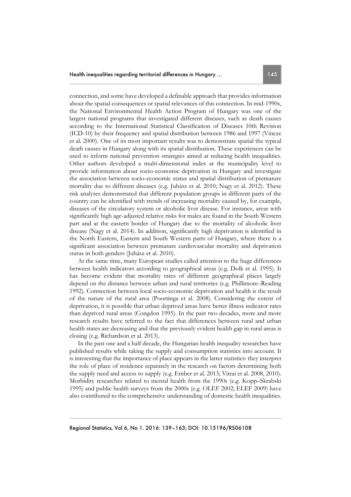connection, and some have developed a definable approach that provides information about the spatial consequences or spatial relevances of this connection. In mid-1990s, the National Environmental Health Action Program of Hungary was one of the largest national programs that investigated different diseases, such as death causes according to the International Statistical Classification of Diseases 10th Revision (ICD-10) by their frequency and spatial distribution between 1986 and 1997 (Vincze et al. 2000). One of its most important results was to demonstrate spatial the typical death causes in Hungary along with its spatial distribution. These experiences can be used to inform national prevention strategies aimed at reducing health inequalities. Other authors developed a multi-dimensional index at the municipality level to provide information about socio-economic deprivation in Hungary and investigate the association between socio-economic status and spatial distribution of premature mortality due to different diseases (e.g. Juhász et al. 2010; Nagy et al. 2012). These risk analyses demonstrated that different population groups in different parts of the country can be identified with trends of increasing mortality caused by, for example, diseases of the circulatory system or alcoholic liver disease. For instance, areas with significantly high age-adjusted relative risks for males are found in the South Western part and at the eastern border of Hungary due to the mortality of alcoholic liver disease (Nagy et al. 2014). In addition, significantly high deprivation is identified in the North Eastern, Eastern and South Western parts of Hungary, where there is a significant association between premature cardiovascular mortality and deprivation status in both genders (Juhász et al. 2010).

At the same time, many European studies called attention to the huge differences between health indicators according to geographical areas (e.g. Dolk et al. 1995). It has become evident that mortality rates of different geographical places largely depend on the distance between urban and rural territories (e.g. Phillimore–Reading 1992). Connection between local socio-economic deprivation and health is the result of the nature of the rural area (Poortinga et al. 2008). Considering the extent of deprivation, it is possible that urban deprived areas have better illness indicator rates than deprived rural areas (Congdon 1995). In the past two decades, more and more research results have referred to the fact that differences between rural and urban health states are decreasing and that the previously evident health gap in rural areas is closing (e.g. Richardson et al. 2013).

In the past one and a half decade, the Hungarian health inequality researches have published results while taking the supply and consumption statistics into account. It is interesting that the importance of place appears in the latter statistics: they interpret the role of place of residence separately in the research on factors determining both the supply need and access to supply (e.g. Ember et al. 2013; Vitrai et al. 2008, 2010). Morbidity researches related to mental health from the 1990s (e.g. Kopp–Skrabski 1995) and public health surveys from the 2000s (e.g. OLEF 2002; ELEF 2009) have also contributed to the comprehensive understanding of domestic health inequalities.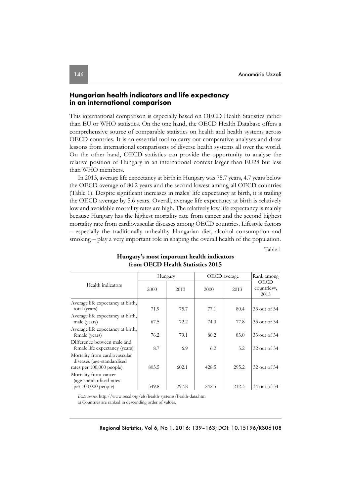## **Hungarian health indicators and life expectancy in an international comparison**

This international comparison is especially based on OECD Health Statistics rather than EU or WHO statistics. On the one hand, the OECD Health Database offers a comprehensive source of comparable statistics on health and health systems across OECD countries. It is an essential tool to carry out comparative analyses and draw lessons from international comparisons of diverse health systems all over the world. On the other hand, OECD statistics can provide the opportunity to analyse the relative position of Hungary in an international context larger than EU28 but less than WHO members.

In 2013, average life expectancy at birth in Hungary was 75.7 years, 4.7 years below the OECD average of 80.2 years and the second lowest among all OECD countries (Table 1). Despite significant increases in males' life expectancy at birth, it is trailing the OECD average by 5.6 years. Overall, average life expectancy at birth is relatively low and avoidable mortality rates are high. The relatively low life expectancy is mainly because Hungary has the highest mortality rate from cancer and the second highest mortality rate from cardiovascular diseases among OECD countries. Lifestyle factors – especially the traditionally unhealthy Hungarian diet, alcohol consumption and smoking – play a very important role in shaping the overall health of the population.

Table 1

|                                                                                          | Hungary |       | OECD average |       | Rank among                                       |
|------------------------------------------------------------------------------------------|---------|-------|--------------|-------|--------------------------------------------------|
| Health indicators                                                                        | 2000    | 2013  | 2000         | 2013  | <b>OECD</b><br>countries <sup>a)</sup> ,<br>2013 |
| Average life expectancy at birth,<br>total (years)                                       | 71.9    | 75.7  | 77.1         | 80.4  | 33 out of 34                                     |
| Average life expectancy at birth,<br>male (years)                                        | 67.5    | 72.2  | 74.0         | 77.8  | 33 out of 34                                     |
| Average life expectancy at birth,<br>female (years)                                      | 76.2    | 79.1  | 80.2         | 83.0  | 33 out of 34                                     |
| Difference between male and<br>female life expectancy (years)                            | 8.7     | 6.9   | 6.2          | 5.2   | 32 out of 34                                     |
| Mortality from cardiovascular<br>diseases (age-standardised<br>rates per 100,000 people) | 803.5   | 602.1 | 428.5        | 295.2 | 32 out of 34                                     |
| Mortality from cancer<br>(age-standardised rates<br>per $100,000$ people)                | 349.8   | 297.8 | 242.5        | 212.3 | 34 out of 34                                     |

## **Hungary's most important health indicators from OECD Health Statistics 2015**

*Data source*: http://www.oecd.org/els/health-systems/health-data.htm

a) Countries are ranked in descending order of values.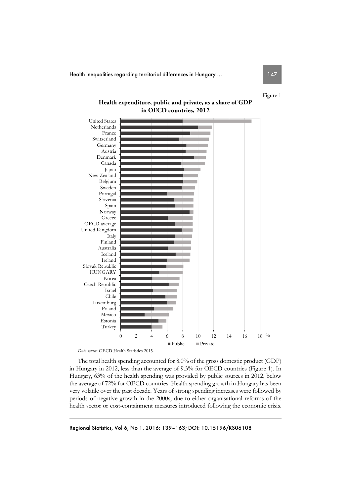Figure 1



# **Health expenditure, public and private, as a share of GDP in OECD countries, 2012**

*Data source*: OECD Health Statistics 2015.

The total health spending accounted for 8.0% of the gross domestic product (GDP) in Hungary in 2012, less than the average of 9.3% for OECD countries (Figure 1). In Hungary, 63% of the health spending was provided by public sources in 2012, below the average of 72% for OECD countries. Health spending growth in Hungary has been very volatile over the past decade. Years of strong spending increases were followed by periods of negative growth in the 2000s, due to either organisational reforms of the health sector or cost-containment measures introduced following the economic crisis.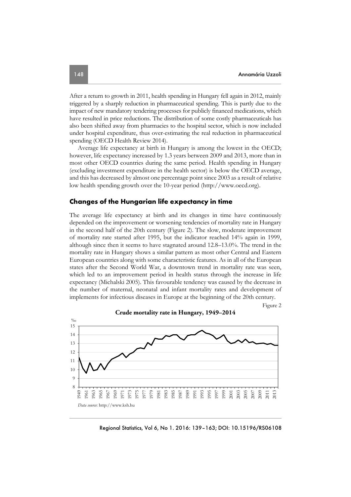After a return to growth in 2011, health spending in Hungary fell again in 2012, mainly triggered by a sharply reduction in pharmaceutical spending. This is partly due to the impact of new mandatory tendering processes for publicly financed medications, which have resulted in price reductions. The distribution of some costly pharmaceuticals has also been shifted away from pharmacies to the hospital sector, which is now included under hospital expenditure, thus over-estimating the real reduction in pharmaceutical spending (OECD Health Review 2014).

Average life expectancy at birth in Hungary is among the lowest in the OECD; however, life expectancy increased by 1.3 years between 2009 and 2013, more than in most other OECD countries during the same period. Health spending in Hungary (excluding investment expenditure in the health sector) is below the OECD average, and this has decreased by almost one percentage point since 2003 as a result of relative low health spending growth over the 10-year period (http://www.oecd.org).

## **Changes of the Hungarian life expectancy in time**

The average life expectancy at birth and its changes in time have continuously depended on the improvement or worsening tendencies of mortality rate in Hungary in the second half of the 20th century (Figure 2). The slow, moderate improvement of mortality rate started after 1995, but the indicator reached 14% again in 1999, although since then it seems to have stagnated around 12.8–13.0%. The trend in the mortality rate in Hungary shows a similar pattern as most other Central and Eastern European countries along with some characteristic features. As in all of the European states after the Second World War, a downtown trend in mortality rate was seen, which led to an improvement period in health status through the increase in life expectancy (Michalski 2005). This favourable tendency was caused by the decrease in the number of maternal, neonatal and infant mortality rates and development of implements for infectious diseases in Europe at the beginning of the 20th century.

Figure 2



**Crude mortality rate in Hungary, 1949–2014** 

Regional Statistics, Vol 6, No 1. 2016: 139–163; DOI: 10.15196/RS06108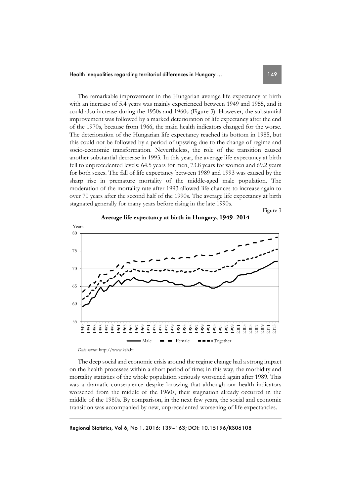The remarkable improvement in the Hungarian average life expectancy at birth with an increase of 5.4 years was mainly experienced between 1949 and 1955, and it could also increase during the 1950s and 1960s (Figure 3). However, the substantial improvement was followed by a marked deterioration of life expectancy after the end of the 1970s, because from 1966, the main health indicators changed for the worse. The deterioration of the Hungarian life expectancy reached its bottom in 1985, but this could not be followed by a period of upswing due to the change of regime and socio-economic transformation. Nevertheless, the role of the transition caused another substantial decrease in 1993. In this year, the average life expectancy at birth fell to unprecedented levels: 64.5 years for men, 73.8 years for women and 69.2 years for both sexes. The fall of life expectancy between 1989 and 1993 was caused by the sharp rise in premature mortality of the middle-aged male population. The moderation of the mortality rate after 1993 allowed life chances to increase again to over 70 years after the second half of the 1990s. The average life expectancy at birth stagnated generally for many years before rising in the late 1990s.

Figure 3



**Average life expectancy at birth in Hungary, 1949–2014** 

*Data source*: http://www.ksh.hu

The deep social and economic crisis around the regime change had a strong impact on the health processes within a short period of time; in this way, the morbidity and mortality statistics of the whole population seriously worsened again after 1989. This was a dramatic consequence despite knowing that although our health indicators worsened from the middle of the 1960s, their stagnation already occurred in the middle of the 1980s. By comparison, in the next few years, the social and economic transition was accompanied by new, unprecedented worsening of life expectancies.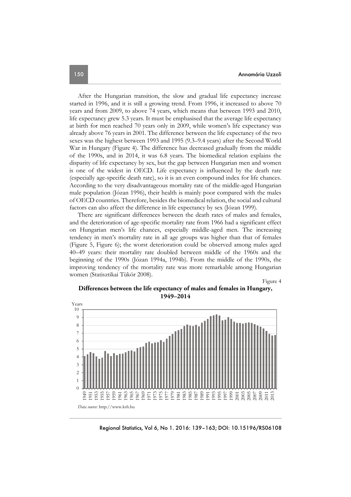After the Hungarian transition, the slow and gradual life expectancy increase started in 1996, and it is still a growing trend. From 1996, it increased to above 70 years and from 2009, to above 74 years, which means that between 1993 and 2010, life expectancy grew 5.3 years. It must be emphasised that the average life expectancy at birth for men reached 70 years only in 2009, while women's life expectancy was already above 76 years in 2001. The difference between the life expectancy of the two sexes was the highest between 1993 and 1995 (9.3–9.4 years) after the Second World War in Hungary (Figure 4). The difference has decreased gradually from the middle of the 1990s, and in 2014, it was 6.8 years. The biomedical relation explains the disparity of life expectancy by sex, but the gap between Hungarian men and women is one of the widest in OECD. Life expectancy is influenced by the death rate (especially age-specific death rate), so it is an even compound index for life chances. According to the very disadvantageous mortality rate of the middle-aged Hungarian male population (Józan 1996), their health is mainly poor compared with the males of OECD countries. Therefore, besides the biomedical relation, the social and cultural factors can also affect the difference in life expectancy by sex (Józan 1999).

There are significant differences between the death rates of males and females, and the deterioration of age-specific mortality rate from 1966 had a significant effect on Hungarian men's life chances, especially middle-aged men. The increasing tendency in men's mortality rate in all age groups was higher than that of females (Figure 5, Figure 6); the worst deterioration could be observed among males aged 40–49 years: their mortality rate doubled between middle of the 1960s and the beginning of the 1990s (Józan 1994a, 1994b). From the middle of the 1990s, the improving tendency of the mortality rate was more remarkable among Hungarian women (Statisztikai Tükör 2008).

Figure 4





Regional Statistics, Vol 6, No 1. 2016: 139–163; DOI: 10.15196/RS06108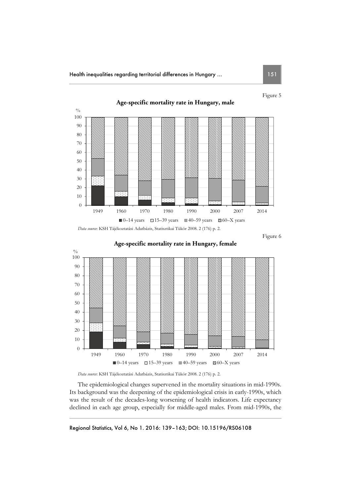

Figure 6





The epidemiological changes supervened in the mortality situations in mid-1990s. Its background was the deepening of the epidemiological crisis in early-1990s, which was the result of the decades-long worsening of health indicators. Life expectancy declined in each age group, especially for middle-aged males. From mid-1990s, the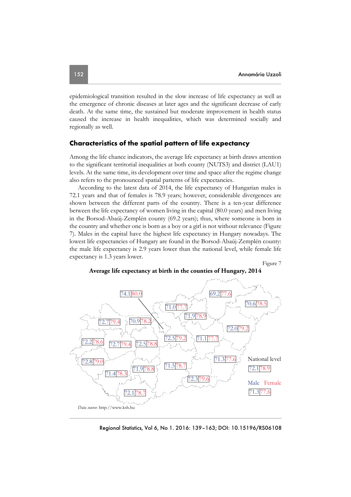epidemiological transition resulted in the slow increase of life expectancy as well as the emergence of chronic diseases at later ages and the significant decrease of early death. At the same time, the sustained but moderate improvement in health status caused the increase in health inequalities, which was determined socially and regionally as well.

## **Characteristics of the spatial pattern of life expectancy**

Among the life chance indicators, the average life expectancy at birth draws attention to the significant territorial inequalities at both county (NUTS3) and district (LAU1) levels. At the same time, its development over time and space after the regime change also refers to the pronounced spatial patterns of life expectancies.

According to the latest data of 2014, the life expectancy of Hungarian males is 72.1 years and that of females is 78.9 years; however, considerable divergences are shown between the different parts of the country. There is a ten-year difference between the life expectancy of women living in the capital (80.0 years) and men living in the Borsod-Abaúj-Zemplén county (69.2 years); thus, where someone is born in the country and whether one is born as a boy or a girl is not without relevance (Figure 7). Males in the capital have the highest life expectancy in Hungary nowadays. The lowest life expectancies of Hungary are found in the Borsod-Abaúj-Zemplén county: the male life expectancy is 2.9 years lower than the national level, while female life expectancy is 1.3 years lower.





**Average life expectancy at birth in the counties of Hungary, 2014** 

Regional Statistics, Vol 6, No 1. 2016: 139–163; DOI: 10.15196/RS06108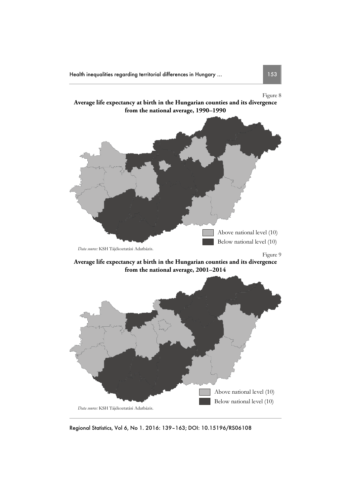

Regional Statistics, Vol 6, No 1. 2016: 139–163; DOI: 10.15196/RS06108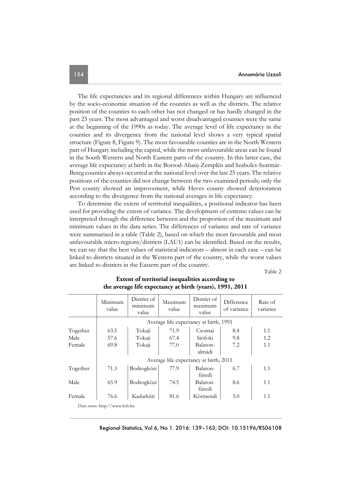The life expectancies and its regional differences within Hungary are influenced by the socio-economic situation of the counties as well as the districts. The relative position of the counties to each other has not changed or has hardly changed in the past 25 years. The most advantaged and worst disadvantaged counties were the same at the beginning of the 1990s as today. The average level of life expectancy in the counties and its divergence from the national level shows a very typical spatial structure (Figure 8, Figure 9). The most favourable counties are in the North Western part of Hungary including the capital, while the most unfavourable areas can be found in the South Western and North Eastern parts of the country. In this latter case, the average life expectancy at birth in the Borsod-Abaúj-Zemplén and Szabolcs-Szatmár-Bereg counties always occurred at the national level over the last 25 years. The relative positions of the counties did not change between the two examined periods; only the Pest county showed an improvement, while Heves county showed deterioration according to the divergence from the national averages in life expectancy.

To determine the extent of territorial inequalities, a positional indicator has been used for providing the extent of variance. The development of extreme values can be interpreted through the difference between and the proportion of the maximum and minimum values in the data series. The differences of variance and rate of variance were summarised in a table (Table 2), based on which the most favourable and most unfavourable micro-regions/districts (LAU1) can be identified. Based on the results, we can say that the best values of statistical indicators – almost in each case – can be linked to districts situated in the Western part of the country, while the worst values are linked to districts in the Eastern part of the country.

Table 2

|                                | Minimum<br>value                       | District of<br>minimum<br>value | Maximum<br>value | District of<br>maximum<br>value | Difference<br>of variance | Rate of<br>variance |  |  |
|--------------------------------|----------------------------------------|---------------------------------|------------------|---------------------------------|---------------------------|---------------------|--|--|
|                                | Average life expectancy at birth, 1991 |                                 |                  |                                 |                           |                     |  |  |
| Together                       | 63.5                                   | Tokaji                          | 71.9             | Csornai                         | 8.4                       | 1.1                 |  |  |
| Male                           | 57.6                                   | Tokaji                          | 67.4             | Siófoki                         | 9.8                       | 1.2                 |  |  |
| Female                         | 69.8                                   | Tokaji                          | 77.0             | Balaton-<br>almádi              | 7.2                       | 1.1                 |  |  |
|                                | Average life expectancy at birth, 2011 |                                 |                  |                                 |                           |                     |  |  |
| Together                       | 71.3                                   | Bodrogközi                      | 77.9             | Balaton-<br>füredi              | 6.7                       | 1.1                 |  |  |
| Male                           | 65.9                                   | Bodrogközi                      | 74.5             | Balaton-<br>füredi              | 8.6                       | 1.1                 |  |  |
| Female                         | 76.6                                   | Kadarkúti                       | 81.6             | Körmendi                        | 5.0                       | 1.1                 |  |  |
| Data source: http://www.ksh.hu |                                        |                                 |                  |                                 |                           |                     |  |  |

## **Extent of territorial inequalities according to the average life expectancy at birth (years), 1991, 2011**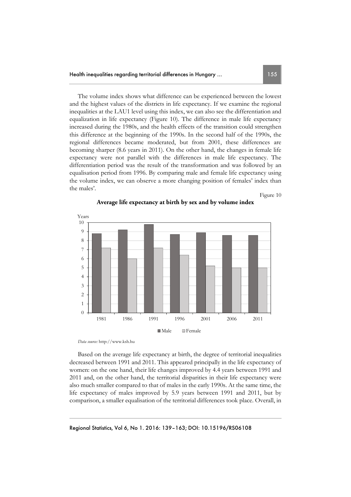The volume index shows what difference can be experienced between the lowest and the highest values of the districts in life expectancy. If we examine the regional inequalities at the LAU1 level using this index, we can also see the differentiation and equalization in life expectancy (Figure 10). The difference in male life expectancy increased during the 1980s, and the health effects of the transition could strengthen this difference at the beginning of the 1990s. In the second half of the 1990s, the regional differences became moderated, but from 2001, these differences are becoming sharper (8.6 years in 2011). On the other hand, the changes in female life expectancy were not parallel with the differences in male life expectancy. The differentiation period was the result of the transformation and was followed by an equalisation period from 1996. By comparing male and female life expectancy using the volume index, we can observe a more changing position of females' index than the males'.

Figure 10



**Average life expectancy at birth by sex and by volume index** 

*Data source:* http://www.ksh.hu

Based on the average life expectancy at birth, the degree of territorial inequalities decreased between 1991 and 2011. This appeared principally in the life expectancy of women: on the one hand, their life changes improved by 4.4 years between 1991 and 2011 and, on the other hand, the territorial disparities in their life expectancy were also much smaller compared to that of males in the early 1990s. At the same time, the life expectancy of males improved by 5.9 years between 1991 and 2011, but by comparison, a smaller equalisation of the territorial differences took place. Overall, in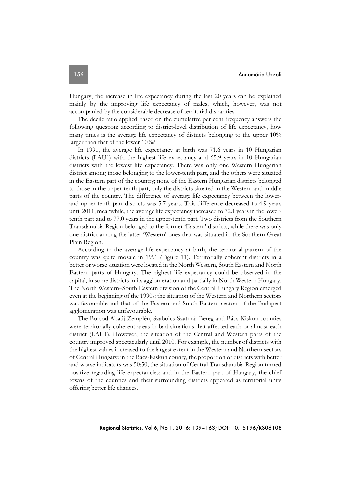Hungary, the increase in life expectancy during the last 20 years can be explained mainly by the improving life expectancy of males, which, however, was not accompanied by the considerable decrease of territorial disparities.

The decile ratio applied based on the cumulative per cent frequency answers the following question: according to district-level distribution of life expectancy, how many times is the average life expectancy of districts belonging to the upper 10% larger than that of the lower 10%?

In 1991, the average life expectancy at birth was 71.6 years in 10 Hungarian districts (LAU1) with the highest life expectancy and 65.9 years in 10 Hungarian districts with the lowest life expectancy. There was only one Western Hungarian district among those belonging to the lower-tenth part, and the others were situated in the Eastern part of the country; none of the Eastern Hungarian districts belonged to those in the upper-tenth part, only the districts situated in the Western and middle parts of the country. The difference of average life expectancy between the lowerand upper-tenth part districts was 5.7 years. This difference decreased to 4.9 years until 2011; meanwhile, the average life expectancy increased to 72.1 years in the lowertenth part and to 77.0 years in the upper-tenth part. Two districts from the Southern Transdanubia Region belonged to the former 'Eastern' districts, while there was only one district among the latter 'Western' ones that was situated in the Southern Great Plain Region.

According to the average life expectancy at birth, the territorial pattern of the country was quite mosaic in 1991 (Figure 11). Territorially coherent districts in a better or worse situation were located in the North Western, South Eastern and North Eastern parts of Hungary. The highest life expectancy could be observed in the capital, in some districts in its agglomeration and partially in North Western Hungary. The North Western–South Eastern division of the Central Hungary Region emerged even at the beginning of the 1990s: the situation of the Western and Northern sectors was favourable and that of the Eastern and South Eastern sectors of the Budapest agglomeration was unfavourable.

The Borsod-Abaúj-Zemplén, Szabolcs-Szatmár-Bereg and Bács-Kiskun counties were territorially coherent areas in bad situations that affected each or almost each district (LAU1). However, the situation of the Central and Western parts of the country improved spectacularly until 2010. For example, the number of districts with the highest values increased to the largest extent in the Western and Northern sectors of Central Hungary; in the Bács-Kiskun county, the proportion of districts with better and worse indicators was 50:50; the situation of Central Transdanubia Region turned positive regarding life expectancies; and in the Eastern part of Hungary, the chief towns of the counties and their surrounding districts appeared as territorial units offering better life chances.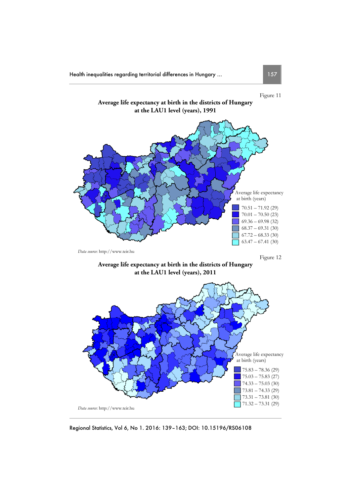

**at the LAU1 level (years), 2011** 



Regional Statistics, Vol 6, No 1. 2016: 139–163; DOI: 10.15196/RS06108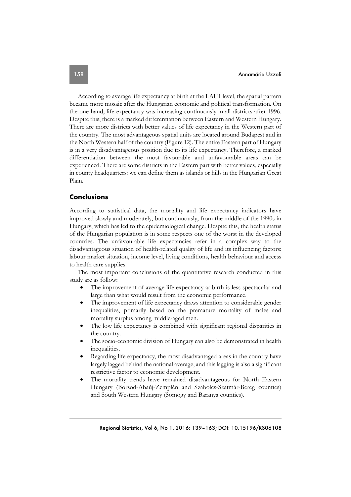According to average life expectancy at birth at the LAU1 level, the spatial pattern became more mosaic after the Hungarian economic and political transformation. On the one hand, life expectancy was increasing continuously in all districts after 1996. Despite this, there is a marked differentiation between Eastern and Western Hungary. There are more districts with better values of life expectancy in the Western part of the country. The most advantageous spatial units are located around Budapest and in the North Western half of the country (Figure 12). The entire Eastern part of Hungary is in a very disadvantageous position due to its life expectancy. Therefore, a marked differentiation between the most favourable and unfavourable areas can be experienced. There are some districts in the Eastern part with better values, especially in county headquarters: we can define them as islands or hills in the Hungarian Great Plain.

# **Conclusions**

According to statistical data, the mortality and life expectancy indicators have improved slowly and moderately, but continuously, from the middle of the 1990s in Hungary, which has led to the epidemiological change. Despite this, the health status of the Hungarian population is in some respects one of the worst in the developed countries. The unfavourable life expectancies refer in a complex way to the disadvantageous situation of health-related quality of life and its influencing factors: labour market situation, income level, living conditions, health behaviour and access to health care supplies.

The most important conclusions of the quantitative research conducted in this study are as follow:

- The improvement of average life expectancy at birth is less spectacular and large than what would result from the economic performance.
- The improvement of life expectancy draws attention to considerable gender inequalities, primarily based on the premature mortality of males and mortality surplus among middle-aged men.
- The low life expectancy is combined with significant regional disparities in the country.
- The socio-economic division of Hungary can also be demonstrated in health inequalities.
- Regarding life expectancy, the most disadvantaged areas in the country have largely lagged behind the national average, and this lagging is also a significant restrictive factor to economic development.
- The mortality trends have remained disadvantageous for North Eastern Hungary (Borsod-Abaúj-Zemplén and Szabolcs-Szatmár-Bereg counties) and South Western Hungary (Somogy and Baranya counties).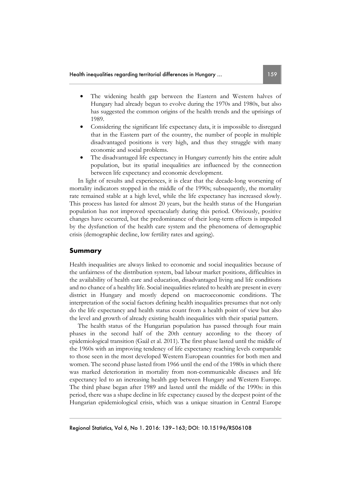- The widening health gap between the Eastern and Western halves of Hungary had already begun to evolve during the 1970s and 1980s, but also has suggested the common origins of the health trends and the uprisings of 1989.
- Considering the significant life expectancy data, it is impossible to disregard that in the Eastern part of the country, the number of people in multiple disadvantaged positions is very high, and thus they struggle with many economic and social problems.
- The disadvantaged life expectancy in Hungary currently hits the entire adult population, but its spatial inequalities are influenced by the connection between life expectancy and economic development.

In light of results and experiences, it is clear that the decade-long worsening of mortality indicators stopped in the middle of the 1990s; subsequently, the mortality rate remained stable at a high level, while the life expectancy has increased slowly. This process has lasted for almost 20 years, but the health status of the Hungarian population has not improved spectacularly during this period. Obviously, positive changes have occurred, but the predominance of their long-term effects is impeded by the dysfunction of the health care system and the phenomena of demographic crisis (demographic decline, low fertility rates and ageing).

## **Summary**

Health inequalities are always linked to economic and social inequalities because of the unfairness of the distribution system, bad labour market positions, difficulties in the availability of health care and education, disadvantaged living and life conditions and no chance of a healthy life. Social inequalities related to health are present in every district in Hungary and mostly depend on macroeconomic conditions. The interpretation of the social factors defining health inequalities presumes that not only do the life expectancy and health status count from a health point of view but also the level and growth of already existing health inequalities with their spatial pattern.

The health status of the Hungarian population has passed through four main phases in the second half of the 20th century according to the theory of epidemiological transition (Gaál et al. 2011). The first phase lasted until the middle of the 1960s with an improving tendency of life expectancy reaching levels comparable to those seen in the most developed Western European countries for both men and women. The second phase lasted from 1966 until the end of the 1980s in which there was marked deterioration in mortality from non-communicable diseases and life expectancy led to an increasing health gap between Hungary and Western Europe. The third phase began after 1989 and lasted until the middle of the 1990s: in this period, there was a shape decline in life expectancy caused by the deepest point of the Hungarian epidemiological crisis, which was a unique situation in Central Europe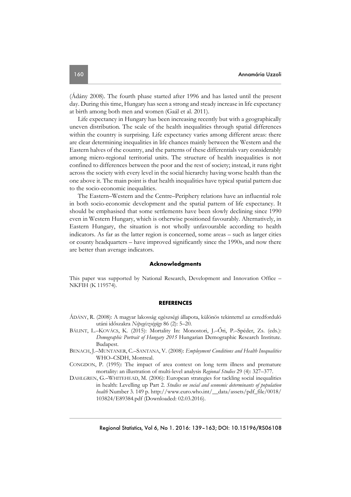(Ádány 2008). The fourth phase started after 1996 and has lasted until the present day. During this time, Hungary has seen a strong and steady increase in life expectancy at birth among both men and women (Gaál et al. 2011).

Life expectancy in Hungary has been increasing recently but with a geographically uneven distribution. The scale of the health inequalities through spatial differences within the country is surprising. Life expectancy varies among different areas: there are clear determining inequalities in life chances mainly between the Western and the Eastern halves of the country, and the patterns of these differentials vary considerably among micro-regional territorial units. The structure of health inequalities is not confined to differences between the poor and the rest of society; instead, it runs right across the society with every level in the social hierarchy having worse health than the one above it. The main point is that health inequalities have typical spatial pattern due to the socio-economic inequalities.

The Eastern–Western and the Centre–Periphery relations have an influential role in both socio-economic development and the spatial pattern of life expectancy. It should be emphasised that some settlements have been slowly declining since 1990 even in Western Hungary, which is otherwise positioned favourably. Alternatively, in Eastern Hungary, the situation is not wholly unfavourable according to health indicators. As far as the latter region is concerned, some areas – such as larger cities or county headquarters – have improved significantly since the 1990s, and now there are better than average indicators.

#### **Acknowledgments**

This paper was supported by National Research, Development and Innovation Office – NKFIH (K 119574).

#### **REFERENCES**

- ÁDÁNY, R. (2008): A magyar lakosság egészségi állapota, különös tekintettel az ezredforduló utáni időszakra *Népegészségügy* 86 (2): 5–20.
- BÁLINT, L.–KOVÁCS, K. (2015): Mortality In: Monostori, J.–Őri, P.–Spéder, Zs. (eds.): *Demographic Portrait of Hungary 2015* Hungarian Demographic Research Institute. Budapest.
- BENACH, J.–MUNTANER, C.–SANTANA, V. (2008): *Employment Conditions and Health Inequalities* WHO–CSDH, Montreal.
- CONGDON, P. (1995): The impact of area context on long term illness and premature mortality: an illustration of multi-level analysis *Regional Studies* 29 (4): 327–377.
- DAHLGREN, G.–WHITEHEAD, M. (2006): European strategies for tackling social inequalities in health: Levelling up Part 2. *Studies on social and economic determinants of population health* Number 3. 149 p. http://www.euro.who.int/\_\_data/assets/pdf\_file/0018/ 103824/E89384.pdf (Downloaded: 02.03.2016).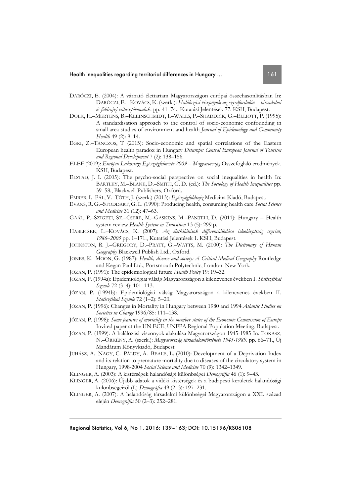- DARÓCZI, E. (2004): A várható élettartam Magyarországon európai összehasonlításban In: DARÓCZI, E. –KOVÁCS, K. (szerk.): *Halálozási viszonyok az ezredfordulón – társadalmi és földrajzi választóvonalak*. pp. 41–74., Kutatási Jelentések 77. KSH, Budapest.
- DOLK, H.–MERTENS, B.–KLEINSCHMIDT, I.–WALLS, P.–SHADDICK, G.–ELLIOTT, P. (1995): A standardisation approach to the control of socio-economic confounding in small area studies of environment and health *Journal of Epidemology and Community Health* 49 (2): 9–14.
- EGRI, Z.–TÁNCZOS, T (2015): Socio-economic and spatial correlations of the Eastern European health paradox in Hungary *Deturope: Central European Journal of Tourism and Regional Development* 7 (2): 138–156.
- ELEF (2009): *Európai Lakossági Egészségfelmérés 2009 Magyarország* Összefoglaló eredmények. KSH, Budapest.
- ELSTAD, J. I. (2005): The psycho-social perspective on social inequalities in health In: BARTLEY, M.–BLANE, D.–SMITH, G. D. (ed.): *The Sociology of Health Inequalities* pp. 39–58., Blackwell Publishers, Oxford.
- EMBER, I.–PÁL, V.–TÓTH, J. (szerk.) (2013): *Egészségföldrajz* Medicina Kiadó, Budapest.
- EVANS, R. G.–STODDART, G. L. (1990): Producing health, consuming health care *Social Science and Medicine* 31 (12): 47–63.
- GAÁL, P.–SZIGETI, SZ.–CSERE, M.–GASKINS, M.–PANTELI, D. (2011): Hungary Health system review *Health System in Transition* 13 (5): 299 p.
- HABLICSEK, L.–KOVÁCS, K. (2007): *Az életkilátások differenciálódása iskolázottság szerint, 1986–2005* pp. 1–171., Kutatási Jelentések 1. KSH, Budapest.
- JOHNSTON, R. J.–GREGORY, D.–PRATT, G.–WATTS, M. (2000): *The Dictionary of Human Geography* Blackwell Publish Ltd., Oxford.
- JONES, K.–MOON, G. (1987): *Health, disease and society: A Critical Medical Geography* Routledge and Kegan Paul Ltd., Portsmouth Polytechnic, London–New York.
- JÓZAN, P. (1991): The epidemiological future *Health Policy* 19: 19–32.
- JÓZAN, P. (1994a): Epidemiológiai válság Magyarországon a kilencvenes években I. *Statisztikai Szemle* 72 (3–4): 101–113.
- JÓZAN, P. (1994b): Epidemiológiai válság Magyarországon a kilencvenes években II. *Statisztikai Szemle* 72 (1–2): 5–20.
- JÓZAN, P. (1996): Changes in Mortality in Hungary between 1980 and 1994 *Atlantic Studies on Societies in Change* 1996/85: 111–138.
- JÓZAN, P. (1998): *Some features of mortality in the member states of the Economic Commission of Europe* Invited paper at the UN ECE, UNFPA Regional Population Meeting, Budapest.
- JÓZAN, P. (1999): A halálozási viszonyok alakulása Magyarországon 1945-1985 In: FOKASZ, N.–ÖRKÉNY, A. (szerk.): *Magyarország társadalomtörténete 1945-1989*. pp. 66–71., Új Mandátum Könyvkiadó, Budapest.
- JUHÁSZ, A.–NAGY, C.–PÁLDY, A.–BEALE, L. (2010): Development of a Deprivation Index and its relation to premature mortality due to diseases of the circulatory system in Hungary, 1998-2004 *Social Science and Medicine* 70 (9): 1342–1349.
- KLINGER, A. (2003): A kistérségek halandósági különbségei *Demográfia* 46 (1): 9–43.
- KLINGER, A. (2006): Újabb adatok a vidéki kistérségek és a budapesti kerületek halandósági különbségeiről (I.) *Demográfia* 49 (2–3): 197–231.
- KLINGER, A. (2007): A halandóság társadalmi különbségei Magyarországon a XXI. század elején *Demográfia* 50 (2–3): 252–281.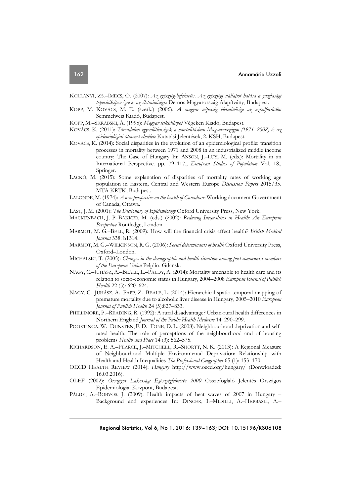- KOLLÁNYI, ZS.–IMECS, O. (2007): *Az egészség-befektetés. Az egészségi nállapot hatása a gazdasági teljesítőképességre és az életminőségre* Demos Magyarország Alapítvány, Budapest.
- KOPP, M.–KOVÁCS, M. E. (szerk.) (2006): *A magyar népesség életminősége az ezredfordulón* Semmelweis Kiadó, Budapest.
- KOPP, M.–SKRABSKI, Á. (1995): *Magyar lelkiállapot* Végeken Kiadó, Budapest.
- KOVÁCS, K. (2011): *Társadalmi egyenlőtlenségek a mortalitásban Magyarországon (1971–2008) és az epidemiológiai átmenet elmélete* Kutatási Jelentések, 2. KSH, Budapest.
- KOVÁCS, K. (2014): Social disparities in the evolution of an epidemiological profile: transition processes in mortality between 1971 and 2008 in an industrialized middle income country: The Case of Hungary In: ANSON, J.–LUY, M. (eds.): Mortality in an International Perspective. pp. 79–117., *European Studies of Population* Vol. 18., Springer.
- LACKÓ, M. (2015): Some explanation of disparities of mortality rates of working age population in Eastern, Central and Western Europe *Discussion Papers* 2015/35. MTA KRTK, Budapest.
- LALONDE, M. (1974): *A new perspective on the health of Canadians* Working document Government of Canada, Ottawa.
- LAST, J. M. (2001): *The Dictionary of Epidemiology* Oxford University Press, New York.
- MACKENBACH, J. P–BAKKER, M. (eds.) (2002): *Reducing Inequalities in Health: An European Perspective* Routledge, London.
- MARMOT, M. G.–BELL, R. (2009): How will the financial crisis affect health? *British Medical Journal* 338: b1314.
- MARMOT, M.G.–WILKINSON, R.G. (2006): *Social determinants of health* Oxford University Press, Oxford–London.
- MICHALSKI, T. (2005): *Changes in the demographic and health situation among post-communist members of the European Union* Pelplin, Gdansk.
- NAGY, C.–JUHÁSZ, A.–BEALE, L.–PÁLDY, A. (2014): Mortality amenable to health care and its relation to socio-economic status in Hungary, 2004–2008 *European Journal of Publich Health* 22 (5): 620–624.
- NAGY, C.–JUHÁSZ, A.–PAPP, Z.–BEALE, L. (2014): Hierarchical spatio-temporal mapping of premature mortality due to alcoholic liver disease in Hungary, 2005–2010 *European Journal of Publich Health* 24 (5):827–833.
- PHILLIMORE, P.–READING, R. (1992): A rural disadvantage? Urban-rural health differences in Northern England *Journal of the Public Health Medicine* 14: 290–299.
- POORTINGA, W.–DUNSTEN, F. D.–FONE, D. L. (2008): Neighbourhood deprivation and selfrated health: The role of perceptions of the neighbourhood and of housing problems *Health and Place* 14 (3): 562–575.
- RICHARDSON, E. A.–PEARCE, J.–MITCHELL, R.–SHORTT, N. K. (2013): A Regional Measure of Neighbourhood Multiple Environmental Deprivation: Relationship with Health and Health Inequalities *The Professional Geographer* 65 (1): 153–170.
- OECD HEALTH REVIEW (2014): *Hungary* http://www.oecd.org/hungary/ (Donwloaded: 16.03.2016).
- OLEF (2002): *Országos Lakossági Egészségfelmérés 2000* Összefoglaló Jelentés Országos Epidemiológiai Központ, Budapest.
- PÁLDY, A.-BOBVOS, J. (2009): Health impacts of heat waves of 2007 in Hungary -Background and experiences In: DINCER, I.–MIDILLI, A.–HEPBASLI, A.–